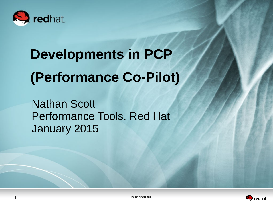

# **Developments in PCP (Performance Co-Pilot)**

Nathan Scott Performance Tools, Red Hat January 2015



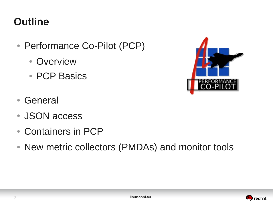## **Outline**

- Performance Co-Pilot (PCP)
	- Overview
	- PCP Basics
- General
- JSON access
- Containers in PCP
- New metric collectors (PMDAs) and monitor tools



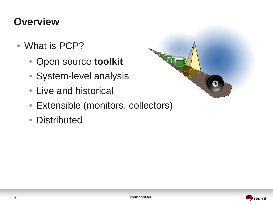#### **Overview**

- What is PCP?
	- Open source **toolkit**
	- System-level analysis
	- Live and historical
	- Extensible (monitors, collectors)
	- Distributed



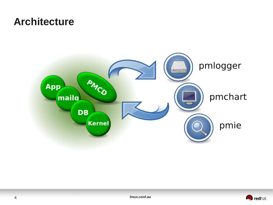#### **Architecture**



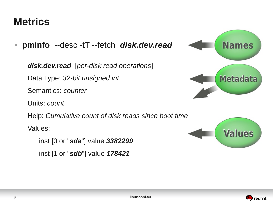#### **Metrics**

● **pminfo** --desc -tT --fetch *disk.dev.read*

 *disk.dev.read* [*per-disk read operations*]

Data Type: *32-bit unsigned int*

Semantics: *counter*

Units: *count*

Help: *Cumulative count of disk reads since boot time* 

Values:

 inst [0 or "*sda*"] value *3382299* inst [1 or "*sdb*"] value *178421*





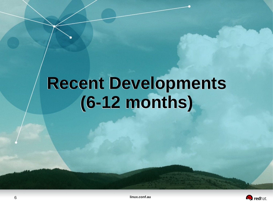# **Recent Developments Recent Developments (6-12 months) (6-12 months)**

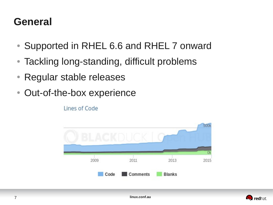#### **General**

- Supported in RHEL 6.6 and RHEL 7 onward
- Tackling long-standing, difficult problems
- Regular stable releases
- Out-of-the-box experience

Lines of Code



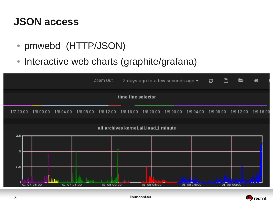#### **JSON access**

- pmwebd (HTTP/JSON)
- Interactive web charts (graphite/grafana)



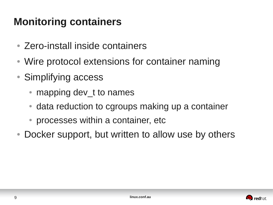## **Monitoring containers**

- Zero-install inside containers
- Wire protocol extensions for container naming
- Simplifying access
	- mapping dev t to names
	- data reduction to cgroups making up a container
	- processes within a container, etc.
- Docker support, but written to allow use by others

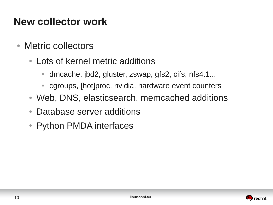### **New collector work**

- Metric collectors
	- Lots of kernel metric additions
		- dmcache, jbd2, gluster, zswap, gfs2, cifs, nfs4.1...
		- cgroups, [hot]proc, nvidia, hardware event counters
	- Web, DNS, elasticsearch, memcached additions
	- Database server additions
	- Python PMDA interfaces

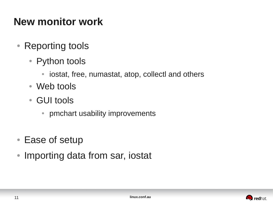### **New monitor work**

- Reporting tools
	- Python tools
		- iostat, free, numastat, atop, collectl and others
	- Web tools
	- GUI tools
		- pmchart usability improvements
- Ease of setup
- Importing data from sar, iostat

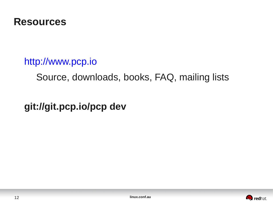

#### http://www.pcp.io

Source, downloads, books, FAQ, mailing lists

**git://git.pcp.io/pcp dev**